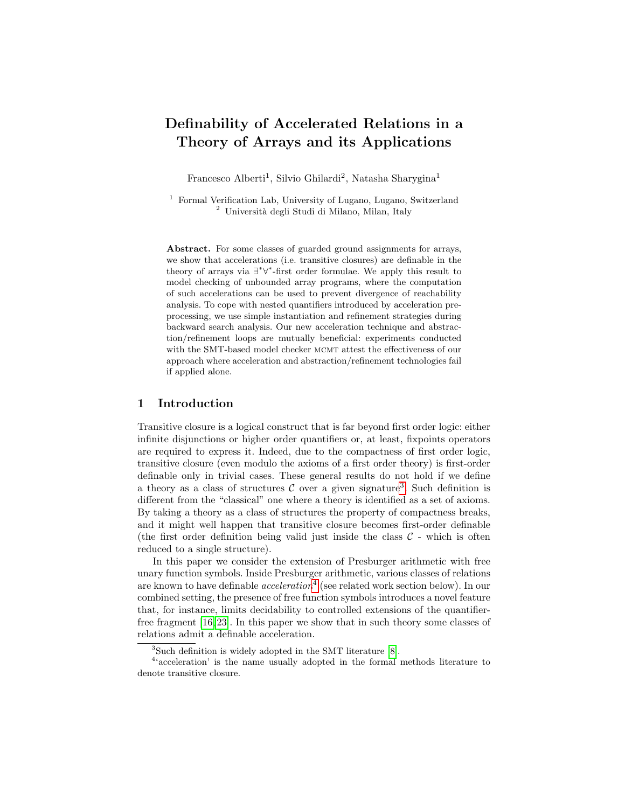# Definability of Accelerated Relations in a Theory of Arrays and its Applications

Francesco Alberti<sup>1</sup>, Silvio Ghilardi<sup>2</sup>, Natasha Sharygina<sup>1</sup>

 $^{\rm 1}$  Formal Verification Lab, University of Lugano, Lugano, Switzerland <sup>2</sup> Università degli Studi di Milano, Milan, Italy

Abstract. For some classes of guarded ground assignments for arrays, we show that accelerations (i.e. transitive closures) are definable in the theory of arrays via ∃ ∗∀ ∗ -first order formulae. We apply this result to model checking of unbounded array programs, where the computation of such accelerations can be used to prevent divergence of reachability analysis. To cope with nested quantifiers introduced by acceleration preprocessing, we use simple instantiation and refinement strategies during backward search analysis. Our new acceleration technique and abstraction/refinement loops are mutually beneficial: experiments conducted with the SMT-based model checker MCMT attest the effectiveness of our approach where acceleration and abstraction/refinement technologies fail if applied alone.

#### 1 Introduction

Transitive closure is a logical construct that is far beyond first order logic: either infinite disjunctions or higher order quantifiers or, at least, fixpoints operators are required to express it. Indeed, due to the compactness of first order logic, transitive closure (even modulo the axioms of a first order theory) is first-order definable only in trivial cases. These general results do not hold if we define a theory as a class of structures  $\mathcal C$  over a given signature<sup>[3](#page-0-0)</sup>. Such definition is different from the "classical" one where a theory is identified as a set of axioms. By taking a theory as a class of structures the property of compactness breaks, and it might well happen that transitive closure becomes first-order definable (the first order definition being valid just inside the class  $C$  - which is often reduced to a single structure).

In this paper we consider the extension of Presburger arithmetic with free unary function symbols. Inside Presburger arithmetic, various classes of relations are known to have definable  $acceleration<sup>4</sup>$  $acceleration<sup>4</sup>$  $acceleration<sup>4</sup>$  (see related work section below). In our combined setting, the presence of free function symbols introduces a novel feature that, for instance, limits decidability to controlled extensions of the quantifierfree fragment [\[16,](#page-15-0) [23\]](#page-15-1). In this paper we show that in such theory some classes of relations admit a definable acceleration.

<span id="page-0-1"></span><span id="page-0-0"></span><sup>3</sup>Such definition is widely adopted in the SMT literature [\[8\]](#page-14-0).

 $44$  acceleration' is the name usually adopted in the formal methods literature to denote transitive closure.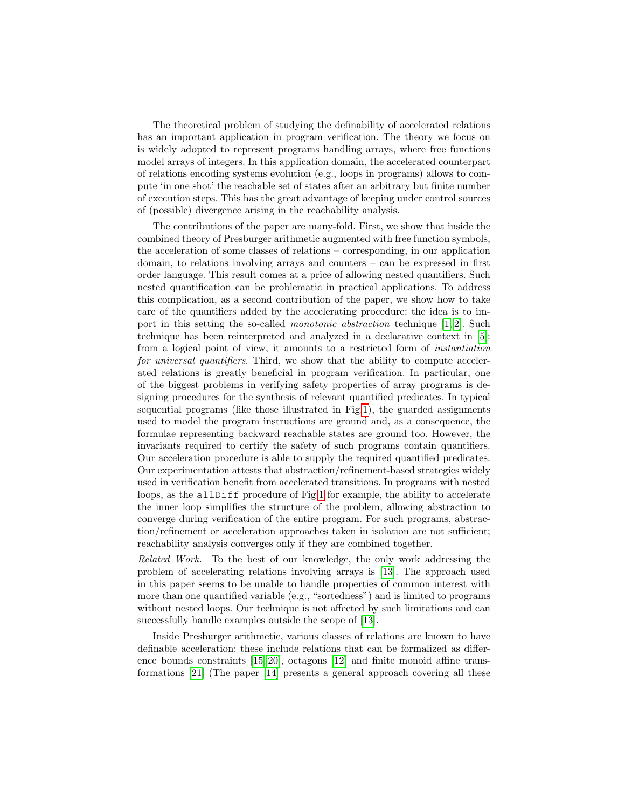The theoretical problem of studying the definability of accelerated relations has an important application in program verification. The theory we focus on is widely adopted to represent programs handling arrays, where free functions model arrays of integers. In this application domain, the accelerated counterpart of relations encoding systems evolution (e.g., loops in programs) allows to compute 'in one shot' the reachable set of states after an arbitrary but finite number of execution steps. This has the great advantage of keeping under control sources of (possible) divergence arising in the reachability analysis.

The contributions of the paper are many-fold. First, we show that inside the combined theory of Presburger arithmetic augmented with free function symbols, the acceleration of some classes of relations – corresponding, in our application domain, to relations involving arrays and counters – can be expressed in first order language. This result comes at a price of allowing nested quantifiers. Such nested quantification can be problematic in practical applications. To address this complication, as a second contribution of the paper, we show how to take care of the quantifiers added by the accelerating procedure: the idea is to import in this setting the so-called monotonic abstraction technique [\[1,](#page-14-1) [2\]](#page-14-2). Such technique has been reinterpreted and analyzed in a declarative context in [\[5\]](#page-14-3): from a logical point of view, it amounts to a restricted form of instantiation for universal quantifiers. Third, we show that the ability to compute accelerated relations is greatly beneficial in program verification. In particular, one of the biggest problems in verifying safety properties of array programs is designing procedures for the synthesis of relevant quantified predicates. In typical sequential programs (like those illustrated in Fig[.1\)](#page-2-0), the guarded assignments used to model the program instructions are ground and, as a consequence, the formulae representing backward reachable states are ground too. However, the invariants required to certify the safety of such programs contain quantifiers. Our acceleration procedure is able to supply the required quantified predicates. Our experimentation attests that abstraction/refinement-based strategies widely used in verification benefit from accelerated transitions. In programs with nested loops, as the allDiff procedure of Fig[.1](#page-2-0) for example, the ability to accelerate the inner loop simplifies the structure of the problem, allowing abstraction to converge during verification of the entire program. For such programs, abstraction/refinement or acceleration approaches taken in isolation are not sufficient; reachability analysis converges only if they are combined together.

Related Work. To the best of our knowledge, the only work addressing the problem of accelerating relations involving arrays is [\[13\]](#page-15-2). The approach used in this paper seems to be unable to handle properties of common interest with more than one quantified variable (e.g., "sortedness") and is limited to programs without nested loops. Our technique is not affected by such limitations and can successfully handle examples outside the scope of [\[13\]](#page-15-2).

Inside Presburger arithmetic, various classes of relations are known to have definable acceleration: these include relations that can be formalized as difference bounds constraints [\[15,](#page-15-3) [20\]](#page-15-4), octagons [\[12\]](#page-15-5) and finite monoid affine transformations [\[21\]](#page-15-6) (The paper [\[14\]](#page-15-7) presents a general approach covering all these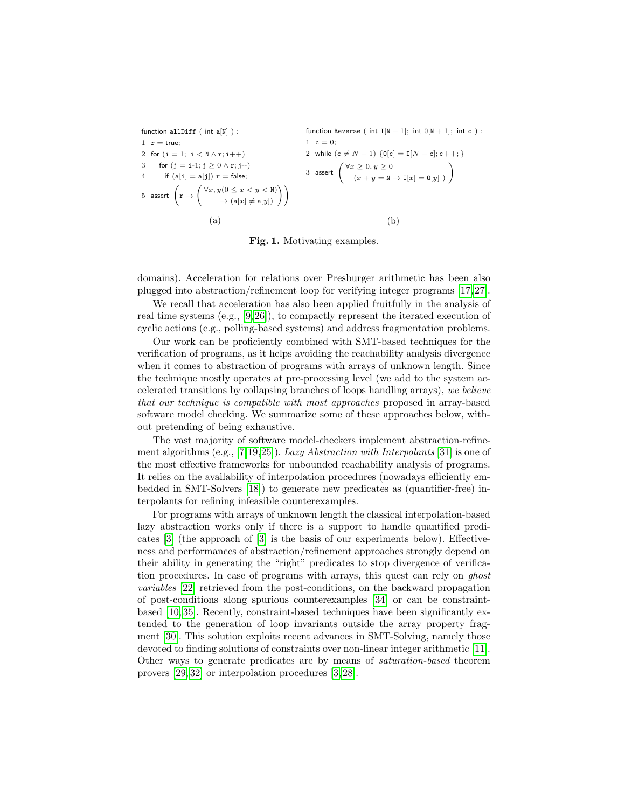function allDiff ( int a[N] ):  
\n1 
$$
r = true
$$
;  
\n2 for (i = 1; i < N \wedge r; i++)  
\n3 for (j = i-1; j  $\geq 0 \wedge r; j-$ )  
\n4 if (a[i] = a[j])  $r = false$ ;  
\n5 assert 
$$
\left(r \rightarrow \begin{pmatrix} \forall x, y(0 \leq x < y < N) \\ & & & \\ & & & \\ & & & \\ & & & \\ & & & \\ & & & \\ & & & & \\ \end{pmatrix}\right)
$$
\n
$$
(a)
$$
\n
$$
(b)
$$
\n
$$
(b)
$$

<span id="page-2-0"></span>Fig. 1. Motivating examples.

domains). Acceleration for relations over Presburger arithmetic has been also plugged into abstraction/refinement loop for verifying integer programs [\[17,](#page-15-8) [27\]](#page-15-9).

We recall that acceleration has also been applied fruitfully in the analysis of real time systems (e.g., [\[9,](#page-14-4) [26\]](#page-15-10)), to compactly represent the iterated execution of cyclic actions (e.g., polling-based systems) and address fragmentation problems.

Our work can be proficiently combined with SMT-based techniques for the verification of programs, as it helps avoiding the reachability analysis divergence when it comes to abstraction of programs with arrays of unknown length. Since the technique mostly operates at pre-processing level (we add to the system accelerated transitions by collapsing branches of loops handling arrays), we believe that our technique is compatible with most approaches proposed in array-based software model checking. We summarize some of these approaches below, without pretending of being exhaustive.

The vast majority of software model-checkers implement abstraction-refinement algorithms (e.g., [\[7,](#page-14-5)[19,](#page-15-11)[25\]](#page-15-12)). Lazy Abstraction with Interpolants [\[31\]](#page-15-13) is one of the most effective frameworks for unbounded reachability analysis of programs. It relies on the availability of interpolation procedures (nowadays efficiently embedded in SMT-Solvers [\[18\]](#page-15-14)) to generate new predicates as (quantifier-free) interpolants for refining infeasible counterexamples.

For programs with arrays of unknown length the classical interpolation-based lazy abstraction works only if there is a support to handle quantified predicates [\[3\]](#page-14-6) (the approach of [\[3\]](#page-14-6) is the basis of our experiments below). Effectiveness and performances of abstraction/refinement approaches strongly depend on their ability in generating the "right" predicates to stop divergence of verification procedures. In case of programs with arrays, this quest can rely on ghost variables [\[22\]](#page-15-15) retrieved from the post-conditions, on the backward propagation of post-conditions along spurious counterexamples [\[34\]](#page-15-16) or can be constraintbased [\[10,](#page-14-7) [35\]](#page-15-17). Recently, constraint-based techniques have been significantly extended to the generation of loop invariants outside the array property fragment [\[30\]](#page-15-18). This solution exploits recent advances in SMT-Solving, namely those devoted to finding solutions of constraints over non-linear integer arithmetic [\[11\]](#page-14-8). Other ways to generate predicates are by means of saturation-based theorem provers [\[29,](#page-15-19) [32\]](#page-15-20) or interpolation procedures [\[3,](#page-14-6) [28\]](#page-15-21).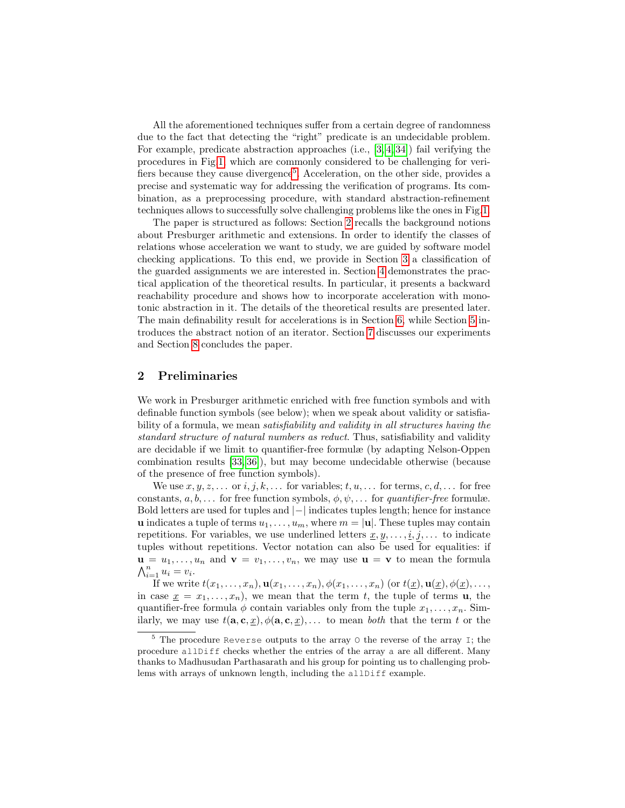All the aforementioned techniques suffer from a certain degree of randomness due to the fact that detecting the "right" predicate is an undecidable problem. For example, predicate abstraction approaches (i.e., [\[3,](#page-14-6) [4,](#page-14-9) [34\]](#page-15-16)) fail verifying the procedures in Fig[.1,](#page-2-0) which are commonly considered to be challenging for veri-fiers because they cause divergence<sup>[5](#page-3-0)</sup>. Acceleration, on the other side, provides a precise and systematic way for addressing the verification of programs. Its combination, as a preprocessing procedure, with standard abstraction-refinement techniques allows to successfully solve challenging problems like the ones in Fig[.1.](#page-2-0)

The paper is structured as follows: Section [2](#page-3-1) recalls the background notions about Presburger arithmetic and extensions. In order to identify the classes of relations whose acceleration we want to study, we are guided by software model checking applications. To this end, we provide in Section [3](#page-4-0) a classification of the guarded assignments we are interested in. Section [4](#page-5-0) demonstrates the practical application of the theoretical results. In particular, it presents a backward reachability procedure and shows how to incorporate acceleration with monotonic abstraction in it. The details of the theoretical results are presented later. The main definability result for accelerations is in Section [6,](#page-10-0) while Section [5](#page-9-0) introduces the abstract notion of an iterator. Section [7](#page-12-0) discusses our experiments and Section [8](#page-14-10) concludes the paper.

# <span id="page-3-1"></span>2 Preliminaries

We work in Presburger arithmetic enriched with free function symbols and with definable function symbols (see below); when we speak about validity or satisfiability of a formula, we mean satisfiability and validity in all structures having the standard structure of natural numbers as reduct. Thus, satisfiability and validity are decidable if we limit to quantifier-free formulæ (by adapting Nelson-Oppen combination results [\[33,](#page-15-22) [36\]](#page-15-23)), but may become undecidable otherwise (because of the presence of free function symbols).

We use  $x, y, z, \ldots$  or  $i, j, k, \ldots$  for variables;  $t, u, \ldots$  for terms,  $c, d, \ldots$  for free constants,  $a, b, \ldots$  for free function symbols,  $\phi, \psi, \ldots$  for *quantifier-free* formulæ. Bold letters are used for tuples and |−| indicates tuples length; hence for instance **u** indicates a tuple of terms  $u_1, \ldots, u_m$ , where  $m = |\mathbf{u}|$ . These tuples may contain repetitions. For variables, we use underlined letters  $\underline{x}, y, \ldots, \underline{i}, j, \ldots$  to indicate tuples without repetitions. Vector notation can also be used for equalities: if  $\mathbf{u} = u_1, \dots, u_n$  and  $\mathbf{v} = v_1, \dots, v_n$ , we may use  $\mathbf{u} = \mathbf{v}$  to mean the formula  $\bigwedge_{i=1}^n u_i = v_i.$ 

If we write  $t(x_1, \ldots, x_n)$ ,  $\mathbf{u}(x_1, \ldots, x_n)$ ,  $\phi(x_1, \ldots, x_n)$  (or  $t(\underline{x})$ ,  $\mathbf{u}(\underline{x})$ ,  $\phi(\underline{x})$ , ..., in case  $x = x_1, \ldots, x_n$ , we mean that the term t, the tuple of terms **u**, the quantifier-free formula  $\phi$  contain variables only from the tuple  $x_1, \ldots, x_n$ . Similarly, we may use  $t(\mathbf{a}, \mathbf{c}, \underline{x}), \phi(\mathbf{a}, \mathbf{c}, \underline{x}), \ldots$  to mean *both* that the term t or the

<span id="page-3-0"></span><sup>5</sup> The procedure Reverse outputs to the array O the reverse of the array I; the procedure allDiff checks whether the entries of the array a are all different. Many thanks to Madhusudan Parthasarath and his group for pointing us to challenging problems with arrays of unknown length, including the allDiff example.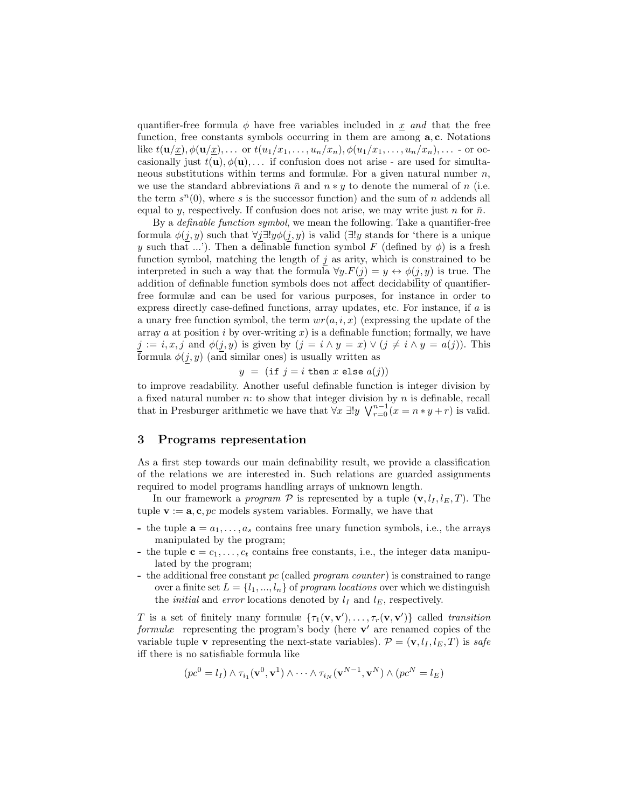quantifier-free formula  $\phi$  have free variables included in x and that the free function, free constants symbols occurring in them are among a, c. Notations like  $t(\mathbf{u}/x), \phi(\mathbf{u}/x), \ldots$  or  $t(u_1/x_1, \ldots, u_n/x_n), \phi(u_1/x_1, \ldots, u_n/x_n), \ldots$  - or occasionally just  $t(\mathbf{u}), \phi(\mathbf{u}), \ldots$  if confusion does not arise - are used for simultaneous substitutions within terms and formulæ. For a given natural number  $n$ , we use the standard abbreviations  $\bar{n}$  and  $n * y$  to denote the numeral of n (i.e. the term  $s^n(0)$ , where s is the successor function) and the sum of n addends all equal to y, respectively. If confusion does not arise, we may write just n for  $\bar{n}$ .

By a definable function symbol, we mean the following. Take a quantifier-free formula  $\phi(j, y)$  such that  $\forall j \exists ! y \phi(j, y)$  is valid ( $\exists ! y$  stands for 'there is a unique y such that ...'). Then a definable function symbol F (defined by  $\phi$ ) is a fresh function symbol, matching the length of  $j$  as arity, which is constrained to be interpreted in such a way that the formula  $\forall y.F(j) = y \leftrightarrow \phi(j, y)$  is true. The addition of definable function symbols does not affect decidability of quantifierfree formulæ and can be used for various purposes, for instance in order to express directly case-defined functions, array updates, etc. For instance, if a is a unary free function symbol, the term  $wr(a, i, x)$  (expressing the update of the array a at position i by over-writing  $x$ ) is a definable function; formally, we have  $j := i, x, j$  and  $\phi(j, y)$  is given by  $(j = i \land y = x) \lor (j \neq i \land y = a(j))$ . This formula  $\phi(j, y)$  (and similar ones) is usually written as

$$
y = (\text{if } j = i \text{ then } x \text{ else } a(j))
$$

to improve readability. Another useful definable function is integer division by a fixed natural number  $n$ : to show that integer division by  $n$  is definable, recall that in Presburger arithmetic we have that  $\forall x \exists! y \; \bigvee_{r=0}^{n-1} (x = n * y + r)$  is valid.

#### <span id="page-4-0"></span>3 Programs representation

As a first step towards our main definability result, we provide a classification of the relations we are interested in. Such relations are guarded assignments required to model programs handling arrays of unknown length.

In our framework a *program*  $P$  is represented by a tuple  $(\mathbf{v}, l_I, l_E, T)$ . The tuple  $\mathbf{v} := \mathbf{a}, \mathbf{c}, pc$  models system variables. Formally, we have that

- the tuple  $\mathbf{a} = a_1, \ldots, a_s$  contains free unary function symbols, i.e., the arrays manipulated by the program;
- the tuple  $\mathbf{c} = c_1, \ldots, c_t$  contains free constants, i.e., the integer data manipulated by the program;
- the additional free constant  $pc$  (called *program counter*) is constrained to range over a finite set  $L = \{l_1, ..., l_n\}$  of program locations over which we distinguish the *initial* and *error* locations denoted by  $l_I$  and  $l_E$ , respectively.

T is a set of finitely many formulæ  $\{\tau_1(\mathbf{v}, \mathbf{v}'), \ldots, \tau_r(\mathbf{v}, \mathbf{v}')\}$  called transition formulæ representing the program's body (here  $\mathbf{v}'$  are renamed copies of the variable tuple v representing the next-state variables).  $\mathcal{P} = (\mathbf{v}, l_I, l_E, T)$  is safe iff there is no satisfiable formula like

$$
(pc^{0} = l_I) \wedge \tau_{i_1}(\mathbf{v}^0, \mathbf{v}^1) \wedge \cdots \wedge \tau_{i_N}(\mathbf{v}^{N-1}, \mathbf{v}^N) \wedge (pc^N = l_E)
$$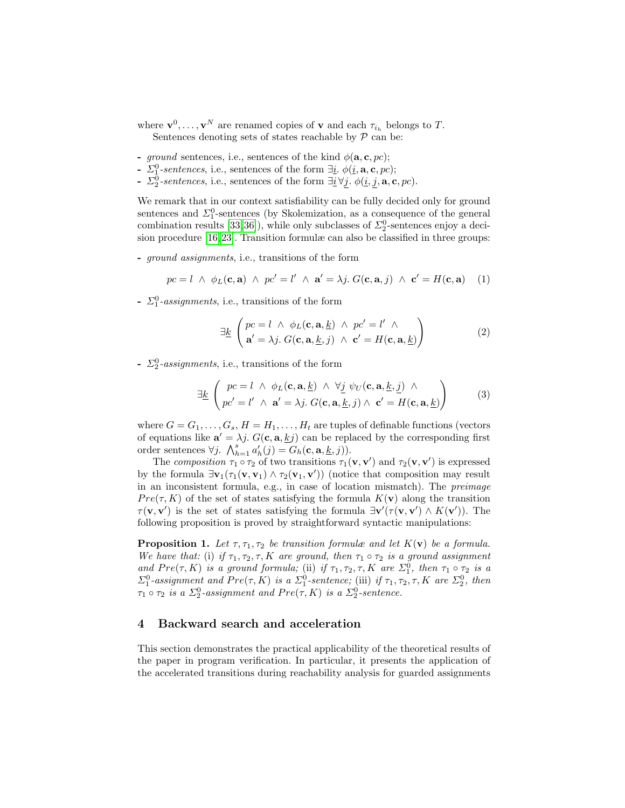where  $\mathbf{v}^0, \dots, \mathbf{v}^N$  are renamed copies of  $\mathbf{v}$  and each  $\tau_{i_h}$  belongs to T. Sentences denoting sets of states reachable by  $P$  can be:

- ground sentences, i.e., sentences of the kind  $\phi(\mathbf{a}, \mathbf{c}, pc)$ ;
- $\Sigma_1^0$ -sentences, i.e., sentences of the form  $\exists \underline{i}$ .  $\phi(\underline{i}, \mathbf{a}, \mathbf{c}, pc)$ ;
- $\Sigma_2^0$ -sentences, i.e., sentences of the form  $\exists \underline{i} \forall \underline{j}$ .  $\phi(\underline{i}, \underline{j}, \mathbf{a}, \mathbf{c}, pc)$ .

We remark that in our context satisfiability can be fully decided only for ground sentences and  $\Sigma_1^0$ -sentences (by Skolemization, as a consequence of the general combination results  $[33, 36]$  $[33, 36]$ ), while only subclasses of  $\Sigma^0_2$ -sentences enjoy a decision procedure [\[16,](#page-15-0)[23\]](#page-15-1). Transition formulæ can also be classified in three groups:

- ground assignments, i.e., transitions of the form

$$
pc = l \ \wedge \ \phi_L(\mathbf{c}, \mathbf{a}) \ \wedge \ pc' = l' \ \wedge \ \mathbf{a}' = \lambda j. \ G(\mathbf{c}, \mathbf{a}, j) \ \wedge \ \mathbf{c}' = H(\mathbf{c}, \mathbf{a}) \tag{1}
$$

-  $\Sigma_1^0$ -assignments, i.e., transitions of the form

$$
\exists \underline{k} \begin{pmatrix} pc = l & \wedge & \phi_L(\mathbf{c}, \mathbf{a}, \underline{k}) & \wedge & pc' = l' & \wedge \\ \mathbf{a}' = \lambda j & G(\mathbf{c}, \mathbf{a}, \underline{k}, j) & \wedge & \mathbf{c}' = H(\mathbf{c}, \mathbf{a}, \underline{k}) \end{pmatrix}
$$
(2)

-  $\Sigma_2^0$ -assignments, i.e., transitions of the form

$$
\exists \underline{k} \begin{pmatrix} pc = l & \wedge & \phi_L(\mathbf{c}, \mathbf{a}, \underline{k}) & \wedge & \forall \underline{j} \ \psi_U(\mathbf{c}, \mathbf{a}, \underline{k}, \underline{j}) & \wedge \\ pc' = l' & \wedge & \mathbf{a}' = \lambda j. \ G(\mathbf{c}, \mathbf{a}, \underline{k}, j) & \wedge & \mathbf{c}' = H(\mathbf{c}, \mathbf{a}, \underline{k}) \end{pmatrix}
$$
(3)

where  $G = G_1, \ldots, G_s, H = H_1, \ldots, H_t$  are tuples of definable functions (vectors of equations like  $\mathbf{a}' = \lambda j$ .  $G(\mathbf{c}, \mathbf{a}, \underline{k}j)$  can be replaced by the corresponding first order sentences  $\forall j$ .  $\bigwedge_{h=1}^{s} a'_{h}(j) = G_{h}(\mathbf{c}, \mathbf{a}, \underline{k}, j)\big)$ .

The composition  $\tau_1 \circ \tau_2$  of two transitions  $\tau_1(\mathbf{v}, \mathbf{v}')$  and  $\tau_2(\mathbf{v}, \mathbf{v}')$  is expressed by the formula  $\exists v_1(\tau_1(v, v_1) \wedge \tau_2(v_1, v'))$  (notice that composition may result in an inconsistent formula, e.g., in case of location mismatch). The preimage  $Pre(\tau, K)$  of the set of states satisfying the formula  $K(\mathbf{v})$  along the transition  $\tau(\mathbf{v}, \mathbf{v}')$  is the set of states satisfying the formula  $\exists \mathbf{v}'(\tau(\mathbf{v}, \mathbf{v}') \wedge K(\mathbf{v}'))$ . The following proposition is proved by straightforward syntactic manipulations:

<span id="page-5-1"></span>**Proposition 1.** Let  $\tau$ ,  $\tau_1$ ,  $\tau_2$  be transition formulæ and let  $K(\mathbf{v})$  be a formula. We have that: (i) if  $\tau_1, \tau_2, \tau, K$  are ground, then  $\tau_1 \circ \tau_2$  is a ground assignment and  $Pre(\tau, K)$  is a ground formula; (ii) if  $\tau_1, \tau_2, \tau, K$  are  $\Sigma_1^0$ , then  $\tau_1 \circ \tau_2$  is a  $\Sigma_1^0$ -assignment and  $Pre(\tau, K)$  is a  $\Sigma_1^0$ -sentence; (iii) if  $\tau_1, \tau_2, \tau, K$  are  $\Sigma_2^0$ , then  $\tau_1 \circ \tau_2$  is a  $\Sigma_2^0$ -assignment and  $Pre(\tau, K)$  is a  $\Sigma_2^0$ -sentence.

#### <span id="page-5-0"></span>4 Backward search and acceleration

This section demonstrates the practical applicability of the theoretical results of the paper in program verification. In particular, it presents the application of the accelerated transitions during reachability analysis for guarded assignments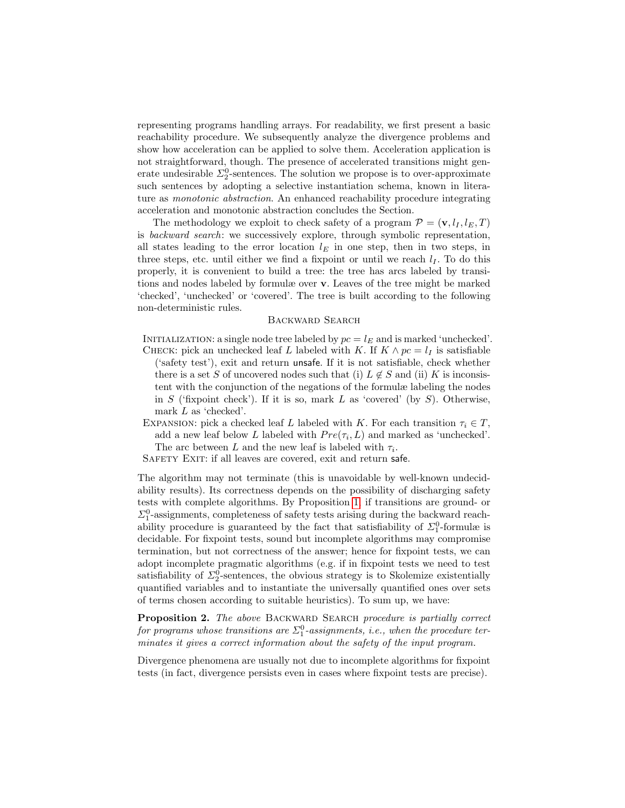representing programs handling arrays. For readability, we first present a basic reachability procedure. We subsequently analyze the divergence problems and show how acceleration can be applied to solve them. Acceleration application is not straightforward, though. The presence of accelerated transitions might generate undesirable  $\Sigma^0_2$ -sentences. The solution we propose is to over-approximate such sentences by adopting a selective instantiation schema, known in literature as monotonic abstraction. An enhanced reachability procedure integrating acceleration and monotonic abstraction concludes the Section.

The methodology we exploit to check safety of a program  $\mathcal{P} = (\mathbf{v}, l_I, l_E, T)$ is backward search: we successively explore, through symbolic representation, all states leading to the error location  $l_E$  in one step, then in two steps, in three steps, etc. until either we find a fixpoint or until we reach  $l_I$ . To do this properly, it is convenient to build a tree: the tree has arcs labeled by transitions and nodes labeled by formulæ over v. Leaves of the tree might be marked 'checked', 'unchecked' or 'covered'. The tree is built according to the following non-deterministic rules.

#### Backward Search

- INITIALIZATION: a single node tree labeled by  $pc = l_E$  and is marked 'unchecked'. CHECK: pick an unchecked leaf L labeled with K. If  $K \wedge pc = l_I$  is satisfiable ('safety test'), exit and return unsafe. If it is not satisfiable, check whether there is a set S of uncovered nodes such that (i)  $L \notin S$  and (ii) K is inconsistent with the conjunction of the negations of the formulæ labeling the nodes in  $S$  ('fixpoint check'). If it is so, mark  $L$  as 'covered' (by  $S$ ). Otherwise, mark L as 'checked'.
- EXPANSION: pick a checked leaf L labeled with K. For each transition  $\tau_i \in T$ , add a new leaf below L labeled with  $Pre(\tau_i, L)$  and marked as 'unchecked'. The arc between L and the new leaf is labeled with  $\tau_i$ .

SAFETY EXIT: if all leaves are covered, exit and return safe.

The algorithm may not terminate (this is unavoidable by well-known undecidability results). Its correctness depends on the possibility of discharging safety tests with complete algorithms. By Proposition [1,](#page-5-1) if transitions are ground- or  $\Sigma^0_1$ -assignments, completeness of safety tests arising during the backward reachability procedure is guaranteed by the fact that satisfiability of  $\Sigma_1^0$ -formulæ is decidable. For fixpoint tests, sound but incomplete algorithms may compromise termination, but not correctness of the answer; hence for fixpoint tests, we can adopt incomplete pragmatic algorithms (e.g. if in fixpoint tests we need to test satisfiability of  $\Sigma^0_2$ -sentences, the obvious strategy is to Skolemize existentially quantified variables and to instantiate the universally quantified ones over sets of terms chosen according to suitable heuristics). To sum up, we have:

<span id="page-6-0"></span>Proposition 2. The above BACKWARD SEARCH procedure is partially correct for programs whose transitions are  $\Sigma^0_1$ -assignments, i.e., when the procedure terminates it gives a correct information about the safety of the input program.

Divergence phenomena are usually not due to incomplete algorithms for fixpoint tests (in fact, divergence persists even in cases where fixpoint tests are precise).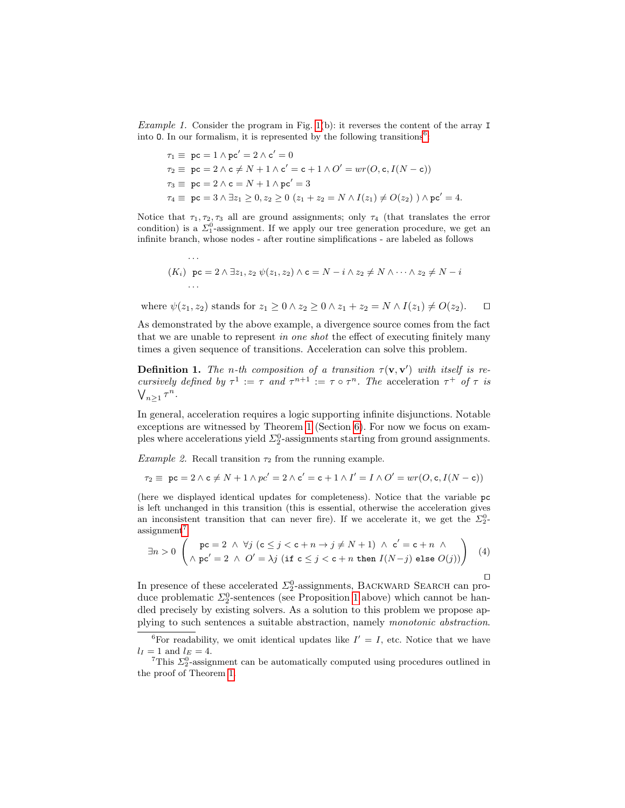Example 1. Consider the program in Fig. [1\(](#page-2-0)b): it reverses the content of the array I into 0. In our formalism, it is represented by the following transitions<sup>[6](#page-7-0)</sup>:

$$
\begin{aligned}\n\tau_1 &\equiv \mathbf{p} \mathbf{c} = 1 \land \mathbf{p} \mathbf{c}' = 2 \land \mathbf{c}' = 0 \\
\tau_2 &\equiv \mathbf{p} \mathbf{c} = 2 \land \mathbf{c} \neq N + 1 \land \mathbf{c}' = \mathbf{c} + 1 \land O' = wr(O, \mathbf{c}, I(N - \mathbf{c})) \\
\tau_3 &\equiv \mathbf{p} \mathbf{c} = 2 \land \mathbf{c} = N + 1 \land \mathbf{p} \mathbf{c}' = 3 \\
\tau_4 &\equiv \mathbf{p} \mathbf{c} = 3 \land \exists z_1 \geq 0, z_2 \geq 0 \ (z_1 + z_2 = N \land I(z_1) \neq O(z_2) \land \mathbf{p} \mathbf{c}' = 4.\n\end{aligned}
$$

Notice that  $\tau_1, \tau_2, \tau_3$  all are ground assignments; only  $\tau_4$  (that translates the error condition) is a  $\Sigma_1^0$ -assignment. If we apply our tree generation procedure, we get an infinite branch, whose nodes - after routine simplifications - are labeled as follows

$$
(K_i) \text{ pc} = 2 \land \exists z_1, z_2 \ \psi(z_1, z_2) \land \mathbf{c} = N - i \land z_2 \neq N \land \dots \land z_2 \neq N - i
$$
  
...

where  $\psi(z_1, z_2)$  stands for  $z_1 \geq 0 \wedge z_2 \geq 0 \wedge z_1 + z_2 = N \wedge I(z_1) \neq O(z_2)$ .  $\Box$ 

As demonstrated by the above example, a divergence source comes from the fact that we are unable to represent in one shot the effect of executing finitely many times a given sequence of transitions. Acceleration can solve this problem.

**Definition 1.** The n-th composition of a transition  $\tau(\mathbf{v}, \mathbf{v}')$  with itself is recursively defined by  $\tau^1 := \tau$  and  $\tau^{n+1} := \tau \circ \tau^n$ . The acceleration  $\tau^+$  of  $\tau$  is  $\bigvee_{n\geq 1} \tau^n$ .

In general, acceleration requires a logic supporting infinite disjunctions. Notable exceptions are witnessed by Theorem [1](#page-11-0) (Section [6\)](#page-10-0). For now we focus on examples where accelerations yield  $\Sigma^0_2$ -assignments starting from ground assignments.

Example 2. Recall transition  $\tau_2$  from the running example.

$$
\tau_2 \equiv pc = 2 \land c \neq N + 1 \land pc' = 2 \land c' = c + 1 \land I' = I \land O' = wr(O, c, I(N - c))
$$

(here we displayed identical updates for completeness). Notice that the variable pc is left unchanged in this transition (this is essential, otherwise the acceleration gives an inconsistent transition that can never fire). If we accelerate it, we get the  $\Sigma_2^0$ - $assignment<sup>7</sup>$  $assignment<sup>7</sup>$  $assignment<sup>7</sup>$ 

<span id="page-7-3"></span>
$$
\exists n > 0 \quad \left( \begin{array}{c} \text{pc} = 2 \quad \land \quad \forall j \ (\text{c} \leq j < \text{c} + n \rightarrow j \neq N+1) \quad \land \quad \text{c}' = \text{c} + n \quad \land \\ \land \quad \text{pc}' = 2 \quad \land \quad O' = \lambda j \ (\text{if} \ \text{c} \leq j < \text{c} + n \ \text{then} \ I(N-j) \ \text{else} \ O(j)) \end{array} \right) \tag{4}
$$

In presence of these accelerated  $\Sigma^0_2$ -assignments, BACKWARD SEARCH can produce problematic  $\Sigma_2^0$ -sentences (see Proposition [1](#page-5-1) above) which cannot be handled precisely by existing solvers. As a solution to this problem we propose applying to such sentences a suitable abstraction, namely monotonic abstraction.

<span id="page-7-2"></span><span id="page-7-0"></span><sup>&</sup>lt;sup>6</sup>For readability, we omit identical updates like  $I' = I$ , etc. Notice that we have  $l_I = 1$  and  $l_E = 4$ .

<span id="page-7-1"></span><sup>&</sup>lt;sup>7</sup>This  $\Sigma_2^0$ -assignment can be automatically computed using procedures outlined in the proof of Theorem [1.](#page-11-0)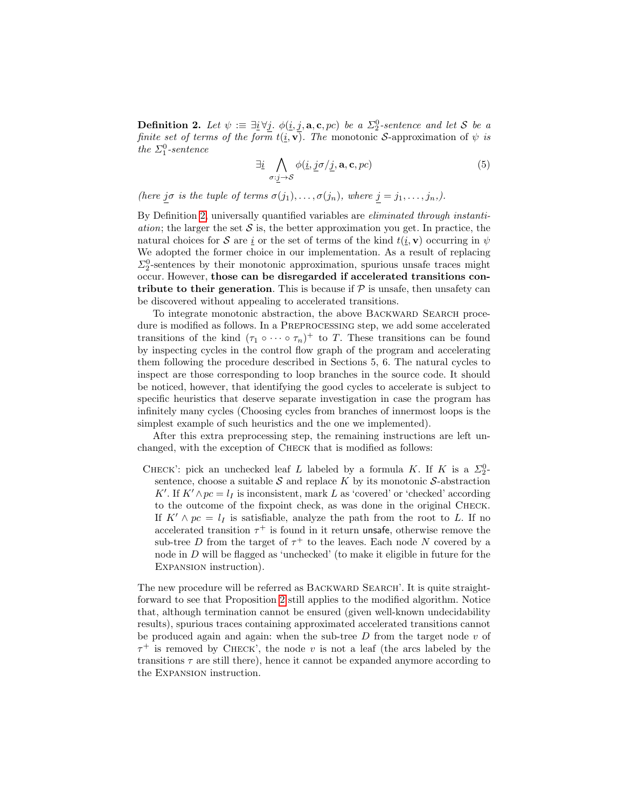**Definition 2.** Let  $\psi := \exists \underline{i} \forall \underline{j}$ .  $\phi(\underline{i}, \underline{j}, \mathbf{a}, \mathbf{c}, pc)$  be a  $\Sigma_2^0$ -sentence and let S be a finite set of terms of the form  $t(\underline{i}, \mathbf{v})$ . The monotonic S-approximation of  $\psi$  is the  $\Sigma_1^0$ -sentence

$$
\exists \underline{i} \bigwedge_{\sigma: \underline{j} \to S} \phi(\underline{i}, \underline{j} \sigma / \underline{j}, \mathbf{a}, \mathbf{c}, pc) \tag{5}
$$

(here jo is the tuple of terms  $\sigma(j_1), \ldots, \sigma(j_n)$ , where  $j = j_1, \ldots, j_n$ .).

By Definition [2,](#page-7-2) universally quantified variables are eliminated through instanti*ation*; the larger the set  $S$  is, the better approximation you get. In practice, the natural choices for S are i or the set of terms of the kind  $t(i, v)$  occurring in  $\psi$ We adopted the former choice in our implementation. As a result of replacing  $\Sigma_2^0$ -sentences by their monotonic approximation, spurious unsafe traces might occur. However, those can be disregarded if accelerated transitions contribute to their generation. This is because if  $P$  is unsafe, then unsafety can be discovered without appealing to accelerated transitions.

To integrate monotonic abstraction, the above BACKWARD SEARCH procedure is modified as follows. In a PREPROCESSING step, we add some accelerated transitions of the kind  $(\tau_1 \circ \cdots \circ \tau_n)^+$  to T. These transitions can be found by inspecting cycles in the control flow graph of the program and accelerating them following the procedure described in Sections 5, 6. The natural cycles to inspect are those corresponding to loop branches in the source code. It should be noticed, however, that identifying the good cycles to accelerate is subject to specific heuristics that deserve separate investigation in case the program has infinitely many cycles (Choosing cycles from branches of innermost loops is the simplest example of such heuristics and the one we implemented).

After this extra preprocessing step, the remaining instructions are left unchanged, with the exception of Check that is modified as follows:

CHECK': pick an unchecked leaf L labeled by a formula K. If K is a  $\Sigma^0$ sentence, choose a suitable  $S$  and replace K by its monotonic  $S$ -abstraction K'. If  $K' \wedge pc = l_I$  is inconsistent, mark L as 'covered' or 'checked' according to the outcome of the fixpoint check, as was done in the original Check. If  $K' \wedge pc = l_I$  is satisfiable, analyze the path from the root to L. If no accelerated transition  $\tau^+$  is found in it return unsafe, otherwise remove the sub-tree D from the target of  $\tau^+$  to the leaves. Each node N covered by a node in D will be flagged as 'unchecked' (to make it eligible in future for the Expansion instruction).

The new procedure will be referred as BACKWARD SEARCH'. It is quite straightforward to see that Proposition [2](#page-6-0) still applies to the modified algorithm. Notice that, although termination cannot be ensured (given well-known undecidability results), spurious traces containing approximated accelerated transitions cannot be produced again and again: when the sub-tree  $D$  from the target node  $v$  of  $\tau^+$  is removed by CHECK', the node v is not a leaf (the arcs labeled by the transitions  $\tau$  are still there), hence it cannot be expanded anymore according to the Expansion instruction.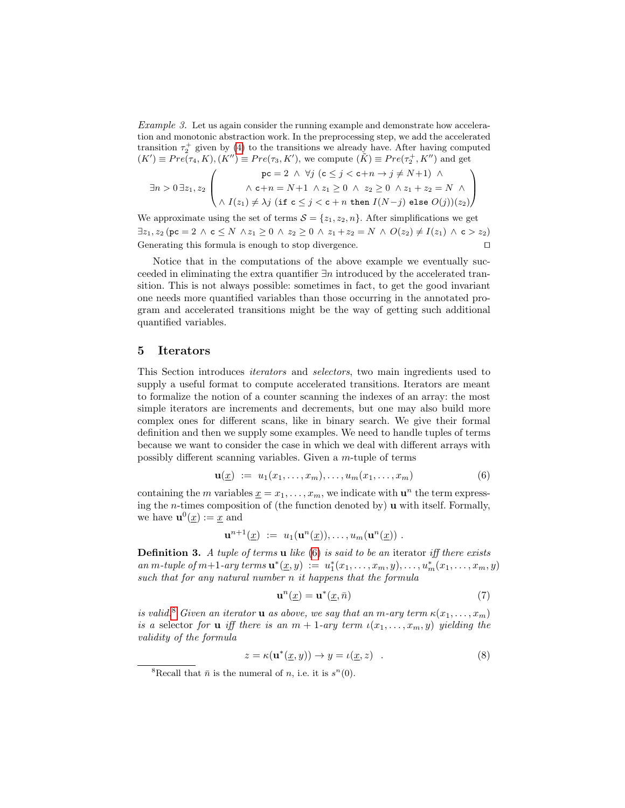Example 3. Let us again consider the running example and demonstrate how acceleration and monotonic abstraction work. In the preprocessing step, we add the accelerated transition  $\tau_2^+$  given by [\(4\)](#page-7-3) to the transitions we already have. After having computed  $(K') \equiv Pre(\tau_4, K), (K'') \equiv Pre(\tau_3, K')$ , we compute  $(K) \equiv Pre(\tau_2^+, K'')$  and get

$$
\exists n>0\,\exists z_1,z_2\,\left(\begin{array}{c} {\rm pc}=2\;\wedge\;\forall j\;({\rm c}\leq j<{\rm c}+n\to j\neq N+1)\;\wedge\\ \wedge\;{\rm c}+n=N+1\;\wedge z_1\geq 0\;\wedge\;z_2\geq 0\;\wedge z_1+z_2=N\;\wedge\\ \wedge\;I(z_1)\neq\lambda j\;({\rm i}{\rm f}\;{\rm c}\leq j<{\rm c}+n\;{\rm then}\;I(N-j)\;{\rm else}\;O(j))(z_2)\end{array}\right)
$$

We approximate using the set of terms  $S = \{z_1, z_2, n\}$ . After simplifications we get  $\exists z_1, z_2 \, (\text{pc} = 2 \land \text{c} \leq N \land z_1 \geq 0 \land z_2 \geq 0 \land z_1 + z_2 = N \land O(z_2) \neq I(z_1) \land \text{c} > z_2)$ Generating this formula is enough to stop divergence.  $\Box$ 

Notice that in the computations of the above example we eventually succeeded in eliminating the extra quantifier ∃n introduced by the accelerated transition. This is not always possible: sometimes in fact, to get the good invariant one needs more quantified variables than those occurring in the annotated program and accelerated transitions might be the way of getting such additional quantified variables.

#### <span id="page-9-0"></span>5 Iterators

This Section introduces iterators and selectors, two main ingredients used to supply a useful format to compute accelerated transitions. Iterators are meant to formalize the notion of a counter scanning the indexes of an array: the most simple iterators are increments and decrements, but one may also build more complex ones for different scans, like in binary search. We give their formal definition and then we supply some examples. We need to handle tuples of terms because we want to consider the case in which we deal with different arrays with possibly different scanning variables. Given a m-tuple of terms

<span id="page-9-1"></span>
$$
\mathbf{u}(\underline{x}) := u_1(x_1, \dots, x_m), \dots, u_m(x_1, \dots, x_m)
$$
(6)

containing the *m* variables  $\underline{x} = x_1, \ldots, x_m$ , we indicate with  $\mathbf{u}^n$  the term expressing the *n*-times composition of (the function denoted by)  $\bf{u}$  with itself. Formally, we have  $\mathbf{u}^0(\underline{x}) := \underline{x}$  and

$$
\mathbf{u}^{n+1}(\underline{x}) \ := \ u_1(\mathbf{u}^n(\underline{x})), \ldots, u_m(\mathbf{u}^n(\underline{x})) \ .
$$

**Definition 3.** A tuple of terms **u** like  $(6)$  is said to be an iterator iff there exists an m-tuple of  $m+1$ -ary terms  $\mathbf{u}^*(\underline{x},y) := u_1^*(x_1,\ldots,x_m,y),\ldots,u_m^*(x_1,\ldots,x_m,y)$ such that for any natural number n it happens that the formula

$$
\mathbf{u}^n(\underline{x}) = \mathbf{u}^*(\underline{x}, \bar{n})\tag{7}
$$

is valid.<sup>[8](#page-9-2)</sup> Given an iterator **u** as above, we say that an m-ary term  $\kappa(x_1, \ldots, x_m)$ is a selector for **u** iff there is an  $m + 1$ -ary term  $\iota(x_1, \ldots, x_m, y)$  yielding the validity of the formula

<span id="page-9-3"></span>
$$
z = \kappa(\mathbf{u}^*(\underline{x}, y)) \to y = \iota(\underline{x}, z) . \tag{8}
$$

<span id="page-9-2"></span><sup>&</sup>lt;sup>8</sup>Recall that  $\bar{n}$  is the numeral of *n*, i.e. it is  $s^{n}(0)$ .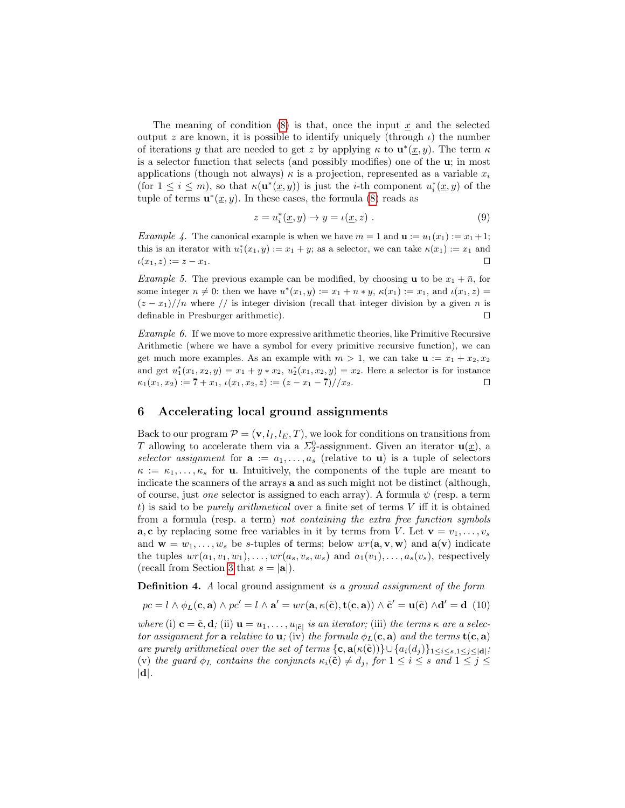The meaning of condition  $(8)$  is that, once the input x and the selected output z are known, it is possible to identify uniquely (through  $\iota$ ) the number of iterations y that are needed to get z by applying  $\kappa$  to  $\mathbf{u}^*(\underline{x}, y)$ . The term  $\kappa$ is a selector function that selects (and possibly modifies) one of the u; in most applications (though not always)  $\kappa$  is a projection, represented as a variable  $x_i$ (for  $1 \leq i \leq m$ ), so that  $\kappa(\mathbf{u}^*(\underline{x}, y))$  is just the *i*-th component  $u_i^*(\underline{x}, y)$  of the tuple of terms  $\mathbf{u}^*(\underline{x}, y)$ . In these cases, the formula [\(8\)](#page-9-3) reads as

$$
z = u_i^*(\underline{x}, y) \to y = \iota(\underline{x}, z) . \tag{9}
$$

<span id="page-10-2"></span>*Example 4.* The canonical example is when we have  $m = 1$  and  $\mathbf{u} := u_1(x_1) := x_1 + 1$ ; this is an iterator with  $u_1^*(x_1, y) := x_1 + y$ ; as a selector, we can take  $\kappa(x_1) := x_1$  and  $\iota(x_1, z) := z - x_1.$ 

*Example 5.* The previous example can be modified, by choosing **u** to be  $x_1 + \overline{n}$ , for some integer  $n \neq 0$ : then we have  $u^*(x_1, y) := x_1 + n * y$ ,  $\kappa(x_1) := x_1$ , and  $\iota(x_1, z) =$  $(z - x_1)/\ell$  where  $\ell$  is integer division (recall that integer division by a given n is definable in Presburger arithmetic).  $\Box$ 

Example 6. If we move to more expressive arithmetic theories, like Primitive Recursive Arithmetic (where we have a symbol for every primitive recursive function), we can get much more examples. As an example with  $m > 1$ , we can take  $\mathbf{u} := x_1 + x_2, x_2$ and get  $u_1^*(x_1, x_2, y) = x_1 + y * x_2, u_2^*(x_1, x_2, y) = x_2$ . Here a selector is for instance  $\kappa_1(x_1, x_2) := \overline{7} + x_1, \, \iota(x_1, x_2, z) := (z - x_1 - \overline{7})/x_2.$ 

#### <span id="page-10-0"></span>6 Accelerating local ground assignments

Back to our program  $\mathcal{P} = (\mathbf{v}, l_I, l_E, T)$ , we look for conditions on transitions from T allowing to accelerate them via a  $\Sigma_2^0$ -assignment. Given an iterator  $\mathbf{u}(\underline{x})$ , a selector assignment for  $\mathbf{a} := a_1, \ldots, a_s$  (relative to **u**) is a tuple of selectors  $\kappa := \kappa_1, \ldots, \kappa_s$  for **u**. Intuitively, the components of the tuple are meant to indicate the scanners of the arrays a and as such might not be distinct (although, of course, just *one* selector is assigned to each array). A formula  $\psi$  (resp. a term t) is said to be *purely arithmetical* over a finite set of terms  $V$  iff it is obtained from a formula (resp. a term) not containing the extra free function symbols **a**, c by replacing some free variables in it by terms from V. Let  $\mathbf{v} = v_1, \ldots, v_s$ and  $\mathbf{w} = w_1, \dots, w_s$  be s-tuples of terms; below  $wr(\mathbf{a}, \mathbf{v}, \mathbf{w})$  and  $\mathbf{a}(\mathbf{v})$  indicate the tuples  $wr(a_1, v_1, w_1), \ldots, wr(a_s, v_s, w_s)$  and  $a_1(v_1), \ldots, a_s(v_s)$ , respectively (recall from Section [3](#page-4-0) that  $s = |\mathbf{a}|$ ).

**Definition 4.** A local ground assignment is a ground assignment of the form

<span id="page-10-1"></span>
$$
pc = l \wedge \phi_L(\mathbf{c}, \mathbf{a}) \wedge pc' = l \wedge \mathbf{a'} = wr(\mathbf{a}, \kappa(\tilde{\mathbf{c}}), \mathbf{t}(\mathbf{c}, \mathbf{a})) \wedge \tilde{\mathbf{c}}' = \mathbf{u}(\tilde{\mathbf{c}}) \wedge \mathbf{d'} = \mathbf{d} \tag{10}
$$

where (i)  $\mathbf{c} = \tilde{\mathbf{c}}, \mathbf{d}$ ; (ii)  $\mathbf{u} = u_1, \dots, u_{|\tilde{\mathbf{c}}|}$  is an iterator; (iii) the terms  $\kappa$  are a selector assignment for a relative to **u**; (iv) the formula  $\phi_L(c, a)$  and the terms **t**(**c**, **a**) are purely arithmetical over the set of terms  $\{c, a(\kappa(\tilde{c}))\} \cup \{a_i(d_j)\}_{1 \leq i \leq s, 1 \leq j \leq |\mathbf{d}|}$ ; (v) the guard  $\phi_L$  contains the conjuncts  $\kappa_i(\tilde{\mathbf{c}}) \neq d_j$ , for  $1 \leq i \leq s$  and  $1 \leq j \leq s$  $|d|$ .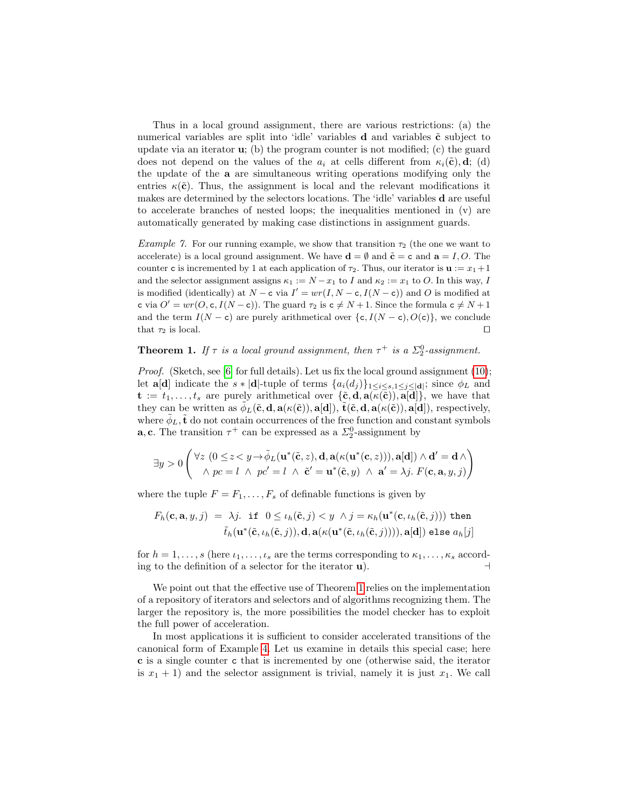Thus in a local ground assignment, there are various restrictions: (a) the numerical variables are split into 'idle' variables  $d$  and variables  $\tilde{c}$  subject to update via an iterator  $\mathbf{u}$ ; (b) the program counter is not modified; (c) the guard does not depend on the values of the  $a_i$  at cells different from  $\kappa_i(\tilde{\mathbf{c}}), \mathbf{d};$  (d) the update of the a are simultaneous writing operations modifying only the entries  $\kappa(\tilde{\mathbf{c}})$ . Thus, the assignment is local and the relevant modifications it makes are determined by the selectors locations. The 'idle' variables d are useful to accelerate branches of nested loops; the inequalities mentioned in (v) are automatically generated by making case distinctions in assignment guards.

*Example 7.* For our running example, we show that transition  $\tau_2$  (the one we want to accelerate) is a local ground assignment. We have  $\mathbf{d} = \emptyset$  and  $\tilde{\mathbf{c}} = \mathbf{c}$  and  $\mathbf{a} = I, O$ . The counter c is incremented by 1 at each application of  $\tau_2$ . Thus, our iterator is  $\mathbf{u} := x_1 + 1$ and the selector assignment assigns  $\kappa_1 := N - x_1$  to I and  $\kappa_2 := x_1$  to O. In this way, I is modified (identically) at  $N - c$  via  $I' = wr(I, N - c, I(N - c))$  and O is modified at c via  $O' = wr(O, c, I(N - c))$ . The guard  $\tau_2$  is  $c \neq N + 1$ . Since the formula  $c \neq N + 1$ and the term  $I(N - c)$  are purely arithmetical over  $\{c, I(N - c), O(c)\}\)$ , we conclude that  $\tau_2$  is local.

# <span id="page-11-0"></span>**Theorem 1.** If  $\tau$  is a local ground assignment, then  $\tau^+$  is a  $\Sigma^0_2$ -assignment.

*Proof.* (Sketch, see [\[6\]](#page-14-11) for full details). Let us fix the local ground assignment [\(10\)](#page-10-1); let **a**[**d**] indicate the  $s * |d|$ -tuple of terms  $\{a_i(d_j)\}_{1 \leq i \leq s, 1 \leq j \leq |d|}$ ; since  $\phi_L$  and  $\mathbf{t} := t_1, \ldots, t_s$  are purely arithmetical over  $\{\tilde{\mathbf{c}}, \mathbf{d}, \mathbf{a}(\kappa(\tilde{\mathbf{c}})), \mathbf{a}[\mathbf{d}]\}$ , we have that they can be written as  $\tilde{\phi}_L(\tilde{\mathbf{c}}, \mathbf{d}, \mathbf{a}(\kappa(\tilde{\mathbf{c}})), \mathbf{a}[\mathbf{d}]), \tilde{\mathbf{t}}(\tilde{\mathbf{c}}, \mathbf{d}, \mathbf{a}(\kappa(\tilde{\mathbf{c}})), \mathbf{a}[\mathbf{d}]),$  respectively, where  $\tilde{\phi}_L$ ,  $\tilde{\mathbf{t}}$  do not contain occurrences of the free function and constant symbols **a**, **c**. The transition  $\tau^+$  can be expressed as a  $\Sigma_2^0$ -assignment by

$$
\exists y > 0 \left( \forall z \ (0 \leq z < y \rightarrow \tilde{\phi}_L(\mathbf{u}^*(\tilde{\mathbf{c}}, z), \mathbf{d}, \mathbf{a}(\kappa(\mathbf{u}^*(\mathbf{c}, z))), \mathbf{a}[\mathbf{d}]) \land \mathbf{d}' = \mathbf{d} \land \\ \land pc = l \ \land pc' = l \ \land \ \tilde{\mathbf{c}}' = \mathbf{u}^*(\tilde{\mathbf{c}}, y) \ \land \ \mathbf{a}' = \lambda j. \ F(\mathbf{c}, \mathbf{a}, y, j) \right)
$$

where the tuple  $F = F_1, \ldots, F_s$  of definable functions is given by

$$
F_h(\mathbf{c}, \mathbf{a}, y, j) = \lambda j. \text{ if } 0 \le \iota_h(\tilde{\mathbf{c}}, j) < y \quad \land j = \kappa_h(\mathbf{u}^*(\mathbf{c}, \iota_h(\tilde{\mathbf{c}}, j))) \text{ then } \tilde{t}_h(\mathbf{u}^*(\tilde{\mathbf{c}}, \iota_h(\tilde{\mathbf{c}}, j)), \mathbf{d}, \mathbf{a}(\kappa(\mathbf{u}^*(\tilde{\mathbf{c}}, \iota_h(\tilde{\mathbf{c}}, j)))) , \mathbf{a}[\mathbf{d}]) \text{ else } a_h[j]
$$

for  $h = 1, \ldots, s$  (here  $\iota_1, \ldots, \iota_s$  are the terms corresponding to  $\kappa_1, \ldots, \kappa_s$  according to the definition of a selector for the iterator  $\mathbf{u}$ .

We point out that the effective use of Theorem [1](#page-11-0) relies on the implementation of a repository of iterators and selectors and of algorithms recognizing them. The larger the repository is, the more possibilities the model checker has to exploit the full power of acceleration.

In most applications it is sufficient to consider accelerated transitions of the canonical form of Example [4.](#page-10-2) Let us examine in details this special case; here c is a single counter c that is incremented by one (otherwise said, the iterator is  $x_1 + 1$ ) and the selector assignment is trivial, namely it is just  $x_1$ . We call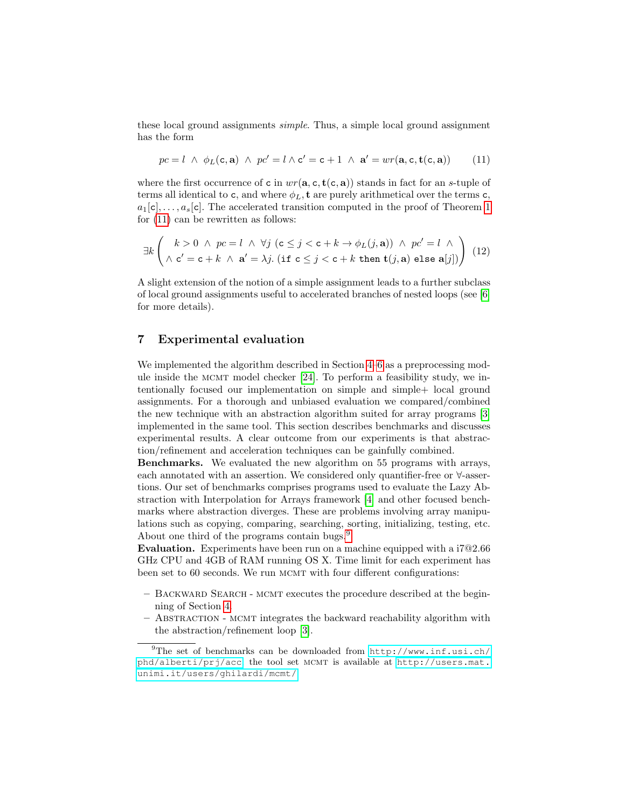these local ground assignments simple. Thus, a simple local ground assignment has the form

<span id="page-12-1"></span>
$$
pc = l \ \wedge \ \phi_L(c, \mathbf{a}) \ \wedge \ pc' = l \wedge c' = c + 1 \ \wedge \ \mathbf{a'} = wr(\mathbf{a}, c, \mathbf{t}(c, \mathbf{a})) \tag{11}
$$

where the first occurrence of c in  $wr(\mathbf{a}, \mathbf{c}, \mathbf{t}(\mathbf{c}, \mathbf{a}))$  stands in fact for an s-tuple of terms all identical to c, and where  $\phi_L$ , t are purely arithmetical over the terms c,  $a_1[c], \ldots, a_s[c]$ . The accelerated transition computed in the proof of Theorem [1](#page-11-0) for [\(11\)](#page-12-1) can be rewritten as follows:

$$
\exists k \left(\begin{array}{c} k>0 \;\wedge\; pc=l \;\wedge\; \forall j \;\left( \mathtt{c}\leq j < \mathtt{c}+k\rightarrow \phi_L(j,\mathtt{a})\right) \;\wedge\; pc'=l \;\wedge \\ \wedge\; \mathtt{c}'=\mathtt{c}+k \;\wedge\; \mathtt{a}'=\lambda j. \;\left( \mathtt{if}\; \mathtt{c}\leq j < \mathtt{c}+k \;\mathtt{then}\; \mathtt{t}(j,\mathtt{a})\;\mathtt{else}\; \mathtt{a}[j]\right)\end{array}\right) \eqno(12)
$$

A slight extension of the notion of a simple assignment leads to a further subclass of local ground assignments useful to accelerated branches of nested loops (see [\[6\]](#page-14-11) for more details).

### <span id="page-12-0"></span>7 Experimental evaluation

We implemented the algorithm described in Section [4–](#page-5-0)[6](#page-10-0) as a preprocessing module inside the mcmt model checker [\[24\]](#page-15-24). To perform a feasibility study, we intentionally focused our implementation on simple and simple+ local ground assignments. For a thorough and unbiased evaluation we compared/combined the new technique with an abstraction algorithm suited for array programs [\[3\]](#page-14-6) implemented in the same tool. This section describes benchmarks and discusses experimental results. A clear outcome from our experiments is that abstraction/refinement and acceleration techniques can be gainfully combined.

Benchmarks. We evaluated the new algorithm on 55 programs with arrays, each annotated with an assertion. We considered only quantifier-free or ∀-assertions. Our set of benchmarks comprises programs used to evaluate the Lazy Abstraction with Interpolation for Arrays framework [\[4\]](#page-14-9) and other focused benchmarks where abstraction diverges. These are problems involving array manipulations such as copying, comparing, searching, sorting, initializing, testing, etc. About one third of the programs contain bugs.<sup>[9](#page-12-2)</sup>

Evaluation. Experiments have been run on a machine equipped with a i7@2.66 GHz CPU and 4GB of RAM running OS X. Time limit for each experiment has been set to 60 seconds. We run MCMT with four different configurations:

- Backward Search mcmt executes the procedure described at the beginning of Section [4.](#page-5-0)
- Abstraction mcmt integrates the backward reachability algorithm with the abstraction/refinement loop [\[3\]](#page-14-6).

<span id="page-12-2"></span> $^{9}$ The set of benchmarks can be downloaded from [http://www.inf.usi.ch/](http://www.inf.usi.ch/phd/alberti/prj/acc) [phd/alberti/prj/acc](http://www.inf.usi.ch/phd/alberti/prj/acc); the tool set MCMT is available at [http://users.mat.](http://users.mat.unimi.it/users/ghilardi/mcmt/) [unimi.it/users/ghilardi/mcmt/](http://users.mat.unimi.it/users/ghilardi/mcmt/).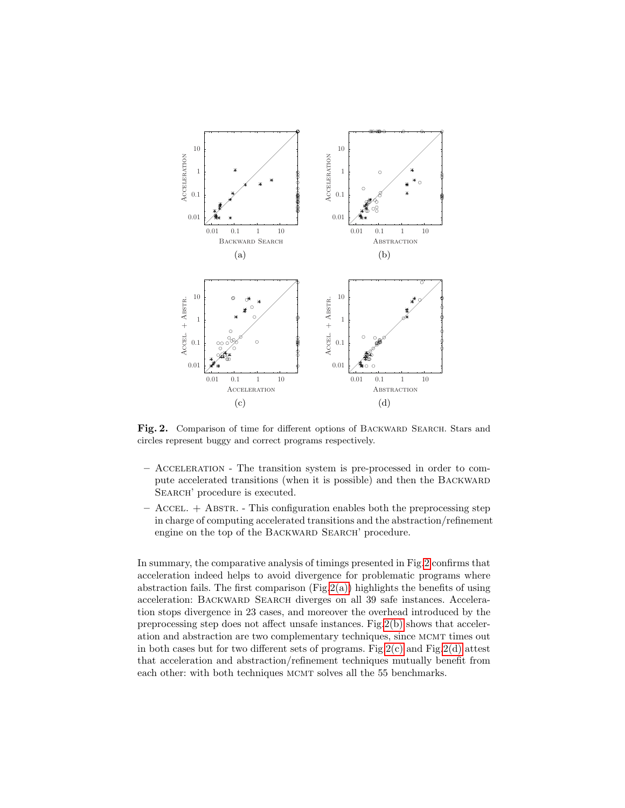<span id="page-13-3"></span><span id="page-13-2"></span><span id="page-13-1"></span>

<span id="page-13-4"></span><span id="page-13-0"></span>Fig. 2. Comparison of time for different options of BACKWARD SEARCH. Stars and circles represent buggy and correct programs respectively.

- Acceleration The transition system is pre-processed in order to compute accelerated transitions (when it is possible) and then the BACKWARD SEARCH' procedure is executed.
- $-$  Accel.  $+$  Abstra.  $-$  This configuration enables both the preprocessing step in charge of computing accelerated transitions and the abstraction/refinement engine on the top of the BACKWARD SEARCH' procedure.

In summary, the comparative analysis of timings presented in Fig[.2](#page-13-0) confirms that acceleration indeed helps to avoid divergence for problematic programs where abstraction fails. The first comparison  $(Fig.2(a))$  $(Fig.2(a))$  highlights the benefits of using acceleration: BACKWARD SEARCH diverges on all 39 safe instances. Acceleration stops divergence in 23 cases, and moreover the overhead introduced by the preprocessing step does not affect unsafe instances. Fig.  $2(b)$  shows that acceleration and abstraction are two complementary techniques, since mcmt times out in both cases but for two different sets of programs. Fig.  $2(c)$  and Fig.  $2(d)$  attest that acceleration and abstraction/refinement techniques mutually benefit from each other: with both techniques MCMT solves all the 55 benchmarks.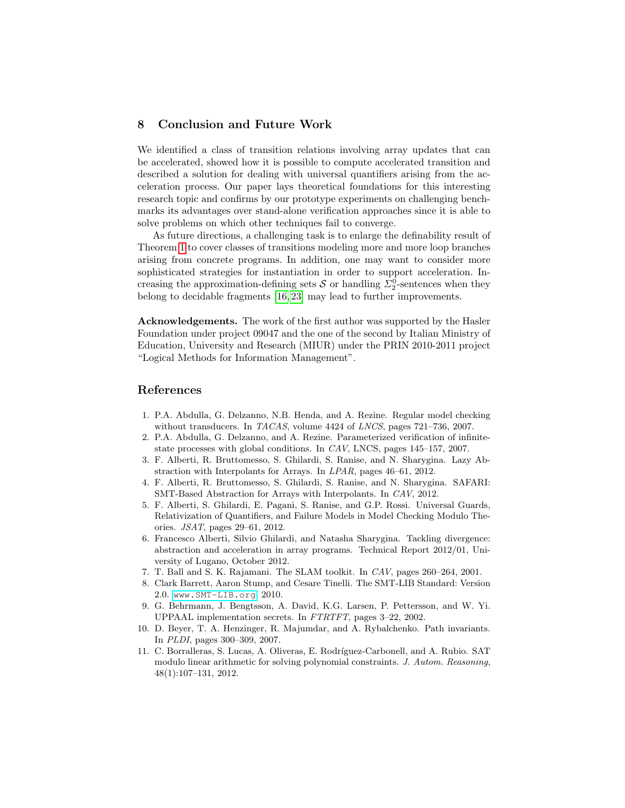# <span id="page-14-10"></span>8 Conclusion and Future Work

We identified a class of transition relations involving array updates that can be accelerated, showed how it is possible to compute accelerated transition and described a solution for dealing with universal quantifiers arising from the acceleration process. Our paper lays theoretical foundations for this interesting research topic and confirms by our prototype experiments on challenging benchmarks its advantages over stand-alone verification approaches since it is able to solve problems on which other techniques fail to converge.

As future directions, a challenging task is to enlarge the definability result of Theorem [1](#page-11-0) to cover classes of transitions modeling more and more loop branches arising from concrete programs. In addition, one may want to consider more sophisticated strategies for instantiation in order to support acceleration. Increasing the approximation-defining sets  $S$  or handling  $\Sigma_2^0$ -sentences when they belong to decidable fragments [\[16,](#page-15-0) [23\]](#page-15-1) may lead to further improvements.

Acknowledgements. The work of the first author was supported by the Hasler Foundation under project 09047 and the one of the second by Italian Ministry of Education, University and Research (MIUR) under the PRIN 2010-2011 project "Logical Methods for Information Management".

#### References

- <span id="page-14-1"></span>1. P.A. Abdulla, G. Delzanno, N.B. Henda, and A. Rezine. Regular model checking without transducers. In TACAS, volume 4424 of LNCS, pages 721-736, 2007.
- <span id="page-14-2"></span>2. P.A. Abdulla, G. Delzanno, and A. Rezine. Parameterized verification of infinitestate processes with global conditions. In CAV, LNCS, pages 145–157, 2007.
- <span id="page-14-6"></span>3. F. Alberti, R. Bruttomesso, S. Ghilardi, S. Ranise, and N. Sharygina. Lazy Abstraction with Interpolants for Arrays. In LPAR, pages 46–61, 2012.
- <span id="page-14-9"></span>4. F. Alberti, R. Bruttomesso, S. Ghilardi, S. Ranise, and N. Sharygina. SAFARI: SMT-Based Abstraction for Arrays with Interpolants. In CAV, 2012.
- <span id="page-14-3"></span>5. F. Alberti, S. Ghilardi, E. Pagani, S. Ranise, and G.P. Rossi. Universal Guards, Relativization of Quantifiers, and Failure Models in Model Checking Modulo Theories. JSAT, pages 29–61, 2012.
- <span id="page-14-11"></span>6. Francesco Alberti, Silvio Ghilardi, and Natasha Sharygina. Tackling divergence: abstraction and acceleration in array programs. Technical Report 2012/01, University of Lugano, October 2012.
- <span id="page-14-5"></span>7. T. Ball and S. K. Rajamani. The SLAM toolkit. In CAV, pages 260–264, 2001.
- <span id="page-14-0"></span>8. Clark Barrett, Aaron Stump, and Cesare Tinelli. The SMT-LIB Standard: Version 2.0. [www.SMT-LIB.org](http://www.smt-lib.org), 2010.
- <span id="page-14-4"></span>9. G. Behrmann, J. Bengtsson, A. David, K.G. Larsen, P. Pettersson, and W. Yi. UPPAAL implementation secrets. In FTRTFT, pages 3–22, 2002.
- <span id="page-14-7"></span>10. D. Beyer, T. A. Henzinger, R. Majumdar, and A. Rybalchenko. Path invariants. In PLDI, pages 300–309, 2007.
- <span id="page-14-8"></span>11. C. Borralleras, S. Lucas, A. Oliveras, E. Rodríguez-Carbonell, and A. Rubio. SAT modulo linear arithmetic for solving polynomial constraints. J. Autom. Reasoning, 48(1):107–131, 2012.